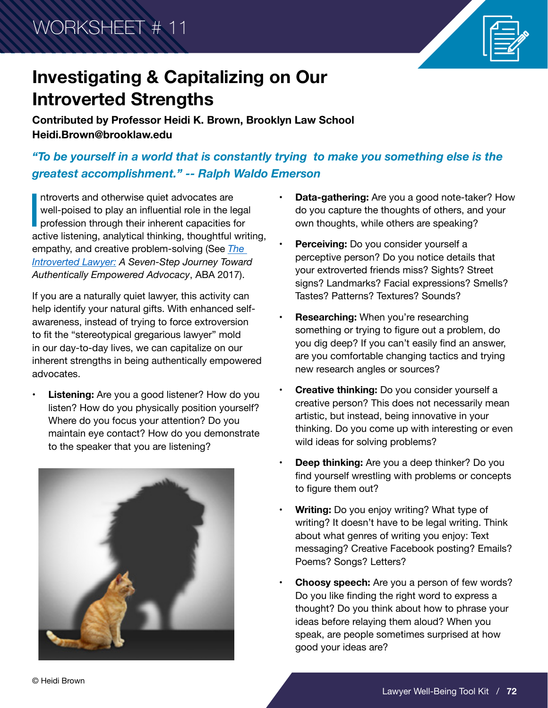WORKSHEET # 11



## **Investigating & Capitalizing on Our Introverted Strengths**

**Contributed by Professor Heidi K. Brown, Brooklyn Law School Heidi.Brown@brooklaw.edu**

*"To be yourself in a world that is constantly trying to make you something else is the greatest accomplishment." -- Ralph Waldo Emerson*

Introverts and otherwise quiet advocates are<br>well-poised to play an influential role in the legal<br>profession through their inherent capacities for<br>active listening, analytical thinking, thoughtful writing, ntroverts and otherwise quiet advocates are well-poised to play an influential role in the legal profession through their inherent capacities for empathy, and creative problem-solving (See *[The](https://shop.americanbar.org/ebus/store/productdetails.aspx?productId=273855314)  [Introverted Lawyer:](https://shop.americanbar.org/ebus/store/productdetails.aspx?productId=273855314) A Seven-Step Journey Toward Authentically Empowered Advocacy*, ABA 2017).

If you are a naturally quiet lawyer, this activity can help identify your natural gifts. With enhanced selfawareness, instead of trying to force extroversion to fit the "stereotypical gregarious lawyer" mold in our day-to-day lives, we can capitalize on our inherent strengths in being authentically empowered advocates.

**• Listening:** Are you a good listener? How do you listen? How do you physically position yourself? Where do you focus your attention? Do you maintain eye contact? How do you demonstrate to the speaker that you are listening?



- **• Data-gathering:** Are you a good note-taker? How do you capture the thoughts of others, and your own thoughts, while others are speaking?
- **• Perceiving:** Do you consider yourself a perceptive person? Do you notice details that your extroverted friends miss? Sights? Street signs? Landmarks? Facial expressions? Smells? Tastes? Patterns? Textures? Sounds?
- **• Researching:** When you're researching something or trying to figure out a problem, do you dig deep? If you can't easily find an answer, are you comfortable changing tactics and trying new research angles or sources?
- **• Creative thinking:** Do you consider yourself a creative person? This does not necessarily mean artistic, but instead, being innovative in your thinking. Do you come up with interesting or even wild ideas for solving problems?
- **Deep thinking:** Are you a deep thinker? Do you find yourself wrestling with problems or concepts to figure them out?
- **• Writing:** Do you enjoy writing? What type of writing? It doesn't have to be legal writing. Think about what genres of writing you enjoy: Text messaging? Creative Facebook posting? Emails? Poems? Songs? Letters?
- **Choosy speech:** Are you a person of few words? Do you like finding the right word to express a thought? Do you think about how to phrase your ideas before relaying them aloud? When you speak, are people sometimes surprised at how good your ideas are?